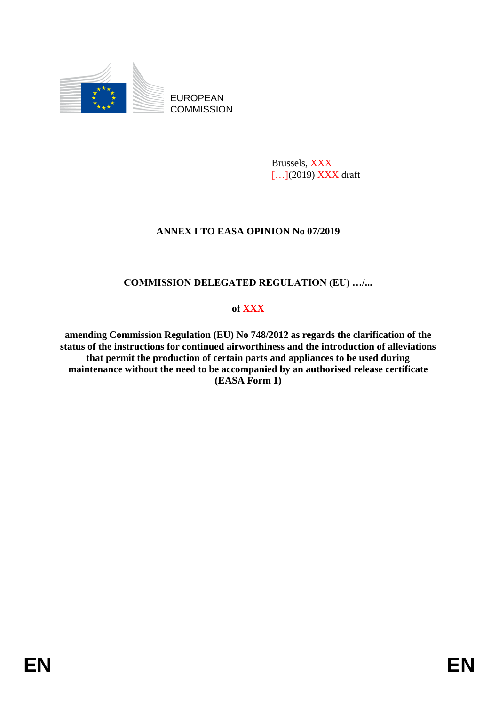

EUROPEAN **COMMISSION** 

> Brussels, XXX [...](2019) **XXX** draft

## **ANNEX I TO EASA OPINION No 07/2019**

# **COMMISSION DELEGATED REGULATION (EU) …/...**

### **of XXX**

**amending Commission Regulation (EU) No 748/2012 as regards the clarification of the status of the instructions for continued airworthiness and the introduction of alleviations that permit the production of certain parts and appliances to be used during maintenance without the need to be accompanied by an authorised release certificate (EASA Form 1)**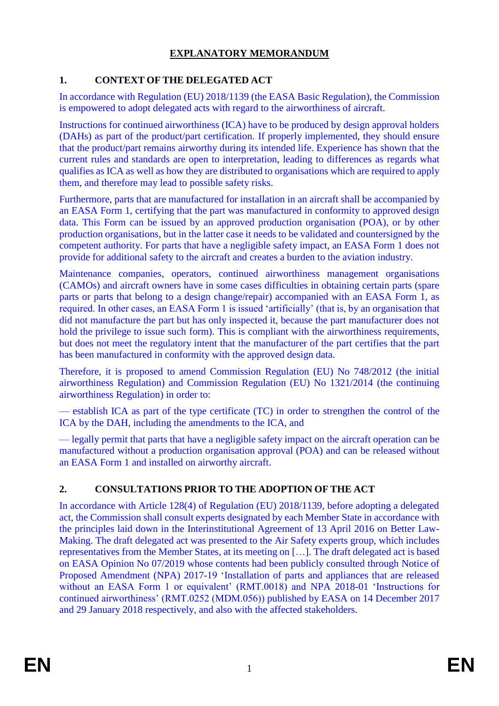# **EXPLANATORY MEMORANDUM**

# **1. CONTEXT OF THE DELEGATED ACT**

In accordance with Regulation (EU) 2018/1139 (the EASA Basic Regulation), the Commission is empowered to adopt delegated acts with regard to the airworthiness of aircraft.

Instructions for continued airworthiness (ICA) have to be produced by design approval holders (DAHs) as part of the product/part certification. If properly implemented, they should ensure that the product/part remains airworthy during its intended life. Experience has shown that the current rules and standards are open to interpretation, leading to differences as regards what qualifies as ICA as well as how they are distributed to organisations which are required to apply them, and therefore may lead to possible safety risks.

Furthermore, parts that are manufactured for installation in an aircraft shall be accompanied by an EASA Form 1, certifying that the part was manufactured in conformity to approved design data. This Form can be issued by an approved production organisation (POA), or by other production organisations, but in the latter case it needs to be validated and countersigned by the competent authority. For parts that have a negligible safety impact, an EASA Form 1 does not provide for additional safety to the aircraft and creates a burden to the aviation industry.

Maintenance companies, operators, continued airworthiness management organisations (CAMOs) and aircraft owners have in some cases difficulties in obtaining certain parts (spare parts or parts that belong to a design change/repair) accompanied with an EASA Form 1, as required. In other cases, an EASA Form 1 is issued 'artificially' (that is, by an organisation that did not manufacture the part but has only inspected it, because the part manufacturer does not hold the privilege to issue such form). This is compliant with the airworthiness requirements, but does not meet the regulatory intent that the manufacturer of the part certifies that the part has been manufactured in conformity with the approved design data.

Therefore, it is proposed to amend Commission Regulation (EU) No 748/2012 (the initial airworthiness Regulation) and Commission Regulation (EU) No 1321/2014 (the continuing airworthiness Regulation) in order to:

— establish ICA as part of the type certificate (TC) in order to strengthen the control of the ICA by the DAH, including the amendments to the ICA, and

— legally permit that parts that have a negligible safety impact on the aircraft operation can be manufactured without a production organisation approval (POA) and can be released without an EASA Form 1 and installed on airworthy aircraft.

# **2. CONSULTATIONS PRIOR TO THE ADOPTION OF THE ACT**

In accordance with Article 128(4) of Regulation (EU) 2018/1139, before adopting a delegated act, the Commission shall consult experts designated by each Member State in accordance with the principles laid down in the Interinstitutional Agreement of 13 April 2016 on Better Law-Making. The draft delegated act was presented to the Air Safety experts group, which includes representatives from the Member States, at its meeting on […]. The draft delegated act is based on EASA Opinion No 07/2019 whose contents had been publicly consulted through Notice of Proposed Amendment (NPA) 2017-19 'Installation of parts and appliances that are released without an EASA Form 1 or equivalent' (RMT.0018) and NPA 2018-01 'Instructions for continued airworthiness' (RMT.0252 (MDM.056)) published by EASA on 14 December 2017 and 29 January 2018 respectively, and also with the affected stakeholders.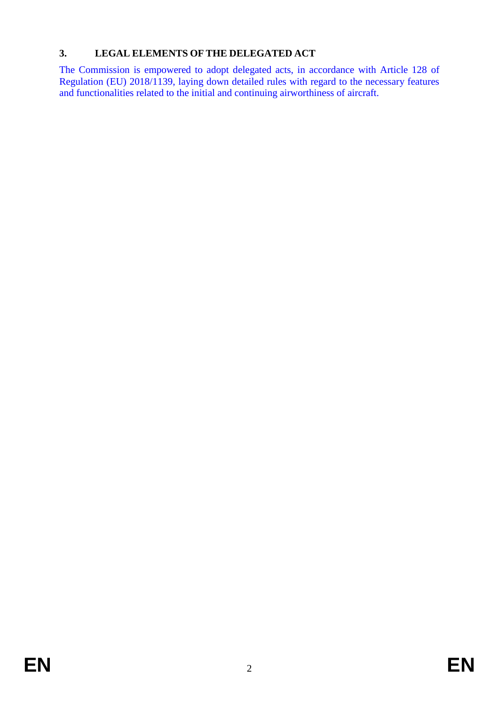# **3. LEGAL ELEMENTS OF THE DELEGATED ACT**

The Commission is empowered to adopt delegated acts, in accordance with Article 128 of Regulation (EU) 2018/1139, laying down detailed rules with regard to the necessary features and functionalities related to the initial and continuing airworthiness of aircraft.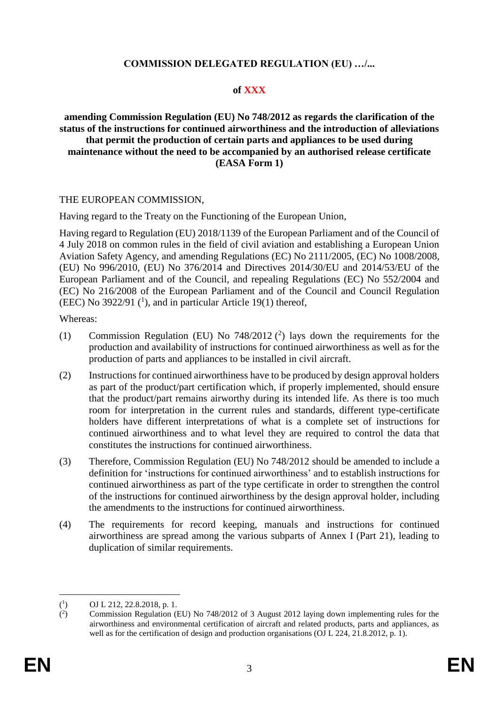### **COMMISSION DELEGATED REGULATION (EU) …/...**

### **of XXX**

#### **amending Commission Regulation (EU) No 748/2012 as regards the clarification of the status of the instructions for continued airworthiness and the introduction of alleviations that permit the production of certain parts and appliances to be used during maintenance without the need to be accompanied by an authorised release certificate (EASA Form 1)**

#### THE EUROPEAN COMMISSION,

Having regard to the Treaty on the Functioning of the European Union,

Having regard to Regulation (EU) 2018/1139 of the European Parliament and of the Council of 4 July 2018 on common rules in the field of civil aviation and establishing a European Union Aviation Safety Agency, and amending Regulations (EC) No 2111/2005, (EC) No 1008/2008, (EU) No 996/2010, (EU) No 376/2014 and Directives 2014/30/EU and 2014/53/EU of the European Parliament and of the Council, and repealing Regulations (EC) No 552/2004 and (EC) No 216/2008 of the European Parliament and of the Council and Council Regulation (EEC) No  $3922/91$  (<sup>1</sup>), and in particular Article 19(1) thereof,

Whereas:

- (1) Commission Regulation (EU) No  $748/2012$  (<sup>2</sup>) lays down the requirements for the production and availability of instructions for continued airworthiness as well as for the production of parts and appliances to be installed in civil aircraft.
- (2) Instructions for continued airworthiness have to be produced by design approval holders as part of the product/part certification which, if properly implemented, should ensure that the product/part remains airworthy during its intended life. As there is too much room for interpretation in the current rules and standards, different type-certificate holders have different interpretations of what is a complete set of instructions for continued airworthiness and to what level they are required to control the data that constitutes the instructions for continued airworthiness.
- (3) Therefore, Commission Regulation (EU) No 748/2012 should be amended to include a definition for 'instructions for continued airworthiness' and to establish instructions for continued airworthiness as part of the type certificate in order to strengthen the control of the instructions for continued airworthiness by the design approval holder, including the amendments to the instructions for continued airworthiness.
- (4) The requirements for record keeping, manuals and instructions for continued airworthiness are spread among the various subparts of Annex I (Part 21), leading to duplication of similar requirements.

<sup>&</sup>lt;u>.</u>  $(^1$ ) OJ L 212, 22.8.2018, p. 1.

 $($ <sup>2</sup> ) Commission Regulation (EU) No 748/2012 of 3 August 2012 laying down implementing rules for the airworthiness and environmental certification of aircraft and related products, parts and appliances, as well as for the certification of design and production organisations (OJ L 224, 21.8.2012, p. 1).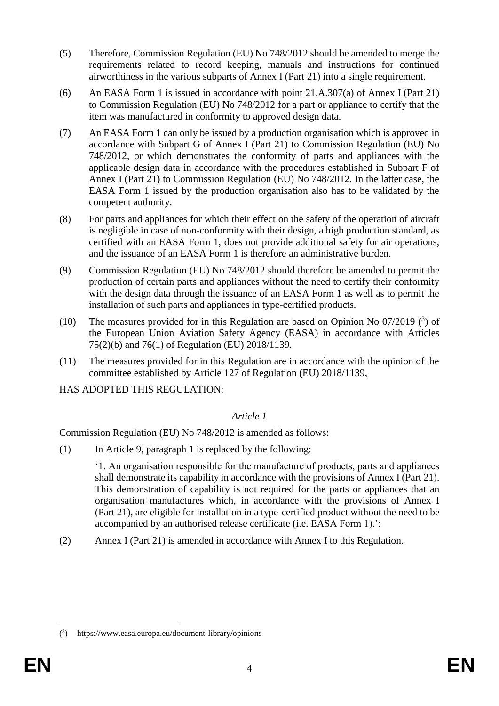- (5) Therefore, Commission Regulation (EU) No 748/2012 should be amended to merge the requirements related to record keeping, manuals and instructions for continued airworthiness in the various subparts of Annex I (Part 21) into a single requirement.
- (6) An EASA Form 1 is issued in accordance with point 21.A.307(a) of Annex I (Part 21) to Commission Regulation (EU) No 748/2012 for a part or appliance to certify that the item was manufactured in conformity to approved design data.
- (7) An EASA Form 1 can only be issued by a production organisation which is approved in accordance with Subpart G of Annex I (Part 21) to Commission Regulation (EU) No 748/2012, or which demonstrates the conformity of parts and appliances with the applicable design data in accordance with the procedures established in Subpart F of Annex I (Part 21) to Commission Regulation (EU) No 748/2012. In the latter case, the EASA Form 1 issued by the production organisation also has to be validated by the competent authority.
- (8) For parts and appliances for which their effect on the safety of the operation of aircraft is negligible in case of non-conformity with their design, a high production standard, as certified with an EASA Form 1, does not provide additional safety for air operations, and the issuance of an EASA Form 1 is therefore an administrative burden.
- (9) Commission Regulation (EU) No 748/2012 should therefore be amended to permit the production of certain parts and appliances without the need to certify their conformity with the design data through the issuance of an EASA Form 1 as well as to permit the installation of such parts and appliances in type-certified products.
- (10) The measures provided for in this Regulation are based on Opinion No  $07/2019$  (3) of the European Union Aviation Safety Agency (EASA) in accordance with Articles 75(2)(b) and 76(1) of Regulation (EU) 2018/1139.
- (11) The measures provided for in this Regulation are in accordance with the opinion of the committee established by Article 127 of Regulation (EU) 2018/1139,

HAS ADOPTED THIS REGULATION:

### *Article 1*

Commission Regulation (EU) No 748/2012 is amended as follows:

(1) In Article 9, paragraph 1 is replaced by the following:

'1. An organisation responsible for the manufacture of products, parts and appliances shall demonstrate its capability in accordance with the provisions of Annex I (Part 21). This demonstration of capability is not required for the parts or appliances that an organisation manufactures which, in accordance with the provisions of Annex I (Part 21), are eligible for installation in a type-certified product without the need to be accompanied by an authorised release certificate (i.e. EASA Form 1).';

(2) Annex I (Part 21) is amended in accordance with Annex I to this Regulation.

<u>.</u>

<sup>(</sup> 3 ) https://www.easa.europa.eu/document-library/opinions